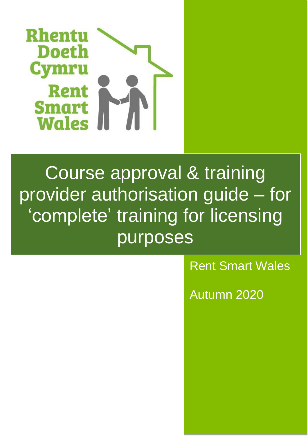

# Course approval & training provider authorisation guide – for 'complete' training for licensing purposes

# Rent Smart Wales

Autumn 2020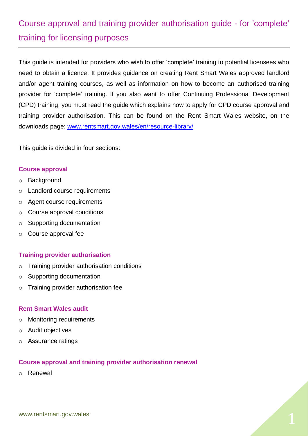# Course approval and training provider authorisation guide - for 'complete' training for licensing purposes

This guide is intended for providers who wish to offer 'complete' training to potential licensees who need to obtain a licence. It provides guidance on creating Rent Smart Wales approved landlord and/or agent training courses, as well as information on how to become an authorised training provider for 'complete' training. If you also want to offer Continuing Professional Development (CPD) training, you must read the guide which explains how to apply for CPD course approval and training provider authorisation. This can be found on the Rent Smart Wales website, on the downloads page: [www.rentsmart.gov.wales/en/resource-library/](http://www.rentsmart.gov.wales/en/resource-library/)

This guide is divided in four sections:

#### **Course approval**

- o Background
- o Landlord course requirements
- o Agent course requirements
- o Course approval conditions
- o Supporting documentation
- o Course approval fee

#### **Training provider authorisation**

- o Training provider authorisation conditions
- o Supporting documentation
- o Training provider authorisation fee

#### **Rent Smart Wales audit**

- o Monitoring requirements
- o Audit objectives
- o Assurance ratings

#### **Course approval and training provider authorisation renewal**

o Renewal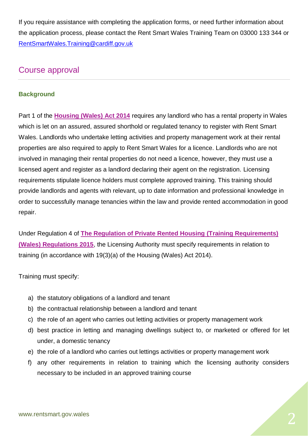If you require assistance with completing the application forms, or need further information about the application process, please contact the Rent Smart Wales Training Team on 03000 133 344 or [RentSmartWales.Training@cardiff.gov.uk](mailto:RentSmartWales.Training@cardiff.gov.uk)

# Course approval

#### **Background**

Part 1 of the **[Housing \(Wales\) Act 2014](http://www.legislation.gov.uk/anaw/2014/7/contents)** requires any landlord who has a rental property in Wales which is let on an assured, assured shorthold or regulated tenancy to register with Rent Smart Wales. Landlords who undertake letting activities and property management work at their rental properties are also required to apply to Rent Smart Wales for a licence. Landlords who are not involved in managing their rental properties do not need a licence, however, they must use a licensed agent and register as a landlord declaring their agent on the registration. Licensing requirements stipulate licence holders must complete approved training. This training should provide landlords and agents with relevant, up to date information and professional knowledge in order to successfully manage tenancies within the law and provide rented accommodation in good repair.

Under Regulation 4 of **[The Regulation of Private Rented Housing](http://www.legislation.gov.uk/wsi/2015/1366/contents/made) (Training Requirements) [\(Wales\) Regulations 2015](http://www.legislation.gov.uk/wsi/2015/1366/contents/made)**, the Licensing Authority must specify requirements in relation to training (in accordance with 19(3)(a) of the Housing (Wales) Act 2014).

Training must specify:

- a) the statutory obligations of a landlord and tenant
- b) the contractual relationship between a landlord and tenant
- c) the role of an agent who carries out letting activities or property management work
- d) best practice in letting and managing dwellings subject to, or marketed or offered for let under, a domestic tenancy
- e) the role of a landlord who carries out lettings activities or property management work
- f) any other requirements in relation to training which the licensing authority considers necessary to be included in an approved training course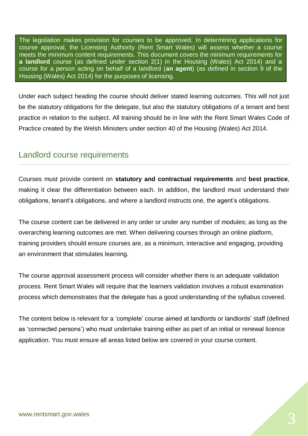The legislation makes provision for courses to be approved. In determining applications for course approval, the Licensing Authority (Rent Smart Wales) will assess whether a course meets the minimum content requirements. This document covers the minimum requirements for **a landlord** course (as defined under section 2(1) in the Housing (Wales) Act 2014) and a course for a person acting on behalf of a landlord (**an agent**) (as defined in section 9 of the Housing (Wales) Act 2014) for the purposes of licensing.

Under each subject heading the course should deliver stated learning outcomes. This will not just be the statutory obligations for the delegate, but also the statutory obligations of a tenant and best practice in relation to the subject. All training should be in line with the Rent Smart Wales Code of Practice created by the Welsh Ministers under section 40 of the Housing (Wales) Act 2014.

# Landlord course requirements

Courses must provide content on **statutory and contractual requirements** and **best practice**, making it clear the differentiation between each. In addition, the landlord must understand their obligations, tenant's obligations, and where a landlord instructs one, the agent's obligations.

The course content can be delivered in any order or under any number of modules; as long as the overarching learning outcomes are met. When delivering courses through an online platform, training providers should ensure courses are, as a minimum, interactive and engaging, providing an environment that stimulates learning.

The course approval assessment process will consider whether there is an adequate validation process. Rent Smart Wales will require that the learners validation involves a robust examination process which demonstrates that the delegate has a good understanding of the syllabus covered.

The content below is relevant for a 'complete' course aimed at landlords or landlords' staff (defined as 'connected persons') who must undertake training either as part of an initial or renewal licence application. You must ensure all areas listed below are covered in your course content.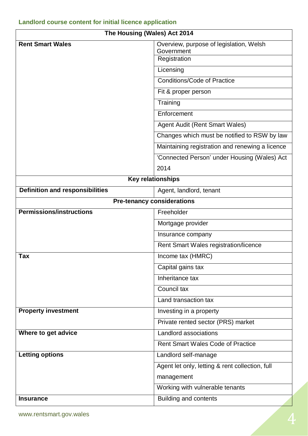# **Landlord course content for initial licence application**

| The Housing (Wales) Act 2014           |                                                                       |
|----------------------------------------|-----------------------------------------------------------------------|
| <b>Rent Smart Wales</b>                | Overview, purpose of legislation, Welsh<br>Government<br>Registration |
|                                        | Licensing                                                             |
|                                        | <b>Conditions/Code of Practice</b>                                    |
|                                        | Fit & proper person                                                   |
|                                        | Training                                                              |
|                                        | Enforcement                                                           |
|                                        | <b>Agent Audit (Rent Smart Wales)</b>                                 |
|                                        | Changes which must be notified to RSW by law                          |
|                                        | Maintaining registration and renewing a licence                       |
|                                        | 'Connected Person' under Housing (Wales) Act                          |
|                                        | 2014                                                                  |
|                                        | <b>Key relationships</b>                                              |
| <b>Definition and responsibilities</b> | Agent, landlord, tenant                                               |
|                                        | <b>Pre-tenancy considerations</b>                                     |
| <b>Permissions/instructions</b>        | Freeholder                                                            |
|                                        | Mortgage provider                                                     |
|                                        | Insurance company                                                     |
|                                        | Rent Smart Wales registration/licence                                 |
| <b>Tax</b>                             | Income tax (HMRC)                                                     |
|                                        | Capital gains tax                                                     |
|                                        | Inheritance tax                                                       |
|                                        | Council tax                                                           |
|                                        | Land transaction tax                                                  |
| <b>Property investment</b>             | Investing in a property                                               |
|                                        | Private rented sector (PRS) market                                    |
| Where to get advice                    | Landlord associations                                                 |
|                                        | <b>Rent Smart Wales Code of Practice</b>                              |
| <b>Letting options</b>                 | Landlord self-manage                                                  |
|                                        | Agent let only, letting & rent collection, full                       |
|                                        | management                                                            |
|                                        | Working with vulnerable tenants                                       |
| <b>Insurance</b>                       | <b>Building and contents</b>                                          |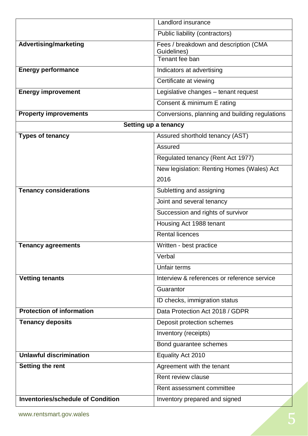|                                          | Landlord insurance                                   |
|------------------------------------------|------------------------------------------------------|
|                                          | Public liability (contractors)                       |
| <b>Advertising/marketing</b>             | Fees / breakdown and description (CMA<br>Guidelines) |
|                                          | Tenant fee ban                                       |
| <b>Energy performance</b>                | Indicators at advertising                            |
|                                          | Certificate at viewing                               |
| <b>Energy improvement</b>                | Legislative changes - tenant request                 |
|                                          | Consent & minimum E rating                           |
| <b>Property improvements</b>             | Conversions, planning and building regulations       |
|                                          | Setting up a tenancy                                 |
| <b>Types of tenancy</b>                  | Assured shorthold tenancy (AST)                      |
|                                          | Assured                                              |
|                                          | Regulated tenancy (Rent Act 1977)                    |
|                                          | New legislation: Renting Homes (Wales) Act           |
|                                          | 2016                                                 |
| <b>Tenancy considerations</b>            | Subletting and assigning                             |
|                                          | Joint and several tenancy                            |
|                                          | Succession and rights of survivor                    |
|                                          | Housing Act 1988 tenant                              |
|                                          | <b>Rental licences</b>                               |
| <b>Tenancy agreements</b>                | Written - best practice                              |
|                                          | Verbal                                               |
|                                          | <b>Unfair terms</b>                                  |
| <b>Vetting tenants</b>                   | Interview & references or reference service          |
|                                          | Guarantor                                            |
|                                          | ID checks, immigration status                        |
| <b>Protection of information</b>         | Data Protection Act 2018 / GDPR                      |
| <b>Tenancy deposits</b>                  | Deposit protection schemes                           |
|                                          | Inventory (receipts)                                 |
|                                          | Bond guarantee schemes                               |
| <b>Unlawful discrimination</b>           | Equality Act 2010                                    |
| <b>Setting the rent</b>                  | Agreement with the tenant                            |
|                                          | Rent review clause                                   |
|                                          | Rent assessment committee                            |
| <b>Inventories/schedule of Condition</b> | Inventory prepared and signed                        |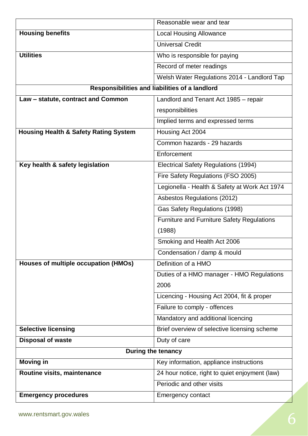|                                                  | Reasonable wear and tear                       |
|--------------------------------------------------|------------------------------------------------|
| <b>Housing benefits</b>                          | <b>Local Housing Allowance</b>                 |
|                                                  | <b>Universal Credit</b>                        |
| <b>Utilities</b>                                 | Who is responsible for paying                  |
|                                                  | Record of meter readings                       |
|                                                  | Welsh Water Regulations 2014 - Landlord Tap    |
|                                                  | Responsibilities and liabilities of a landlord |
| Law - statute, contract and Common               | Landlord and Tenant Act 1985 - repair          |
|                                                  | responsibilities                               |
|                                                  | Implied terms and expressed terms              |
| <b>Housing Health &amp; Safety Rating System</b> | Housing Act 2004                               |
|                                                  | Common hazards - 29 hazards                    |
|                                                  | Enforcement                                    |
| Key health & safety legislation                  | Electrical Safety Regulations (1994)           |
|                                                  | Fire Safety Regulations (FSO 2005)             |
|                                                  | Legionella - Health & Safety at Work Act 1974  |
|                                                  | Asbestos Regulations (2012)                    |
|                                                  | Gas Safety Regulations (1998)                  |
|                                                  | Furniture and Furniture Safety Regulations     |
|                                                  | (1988)                                         |
|                                                  | Smoking and Health Act 2006                    |
|                                                  | Condensation / damp & mould                    |
| Houses of multiple occupation (HMOs)             | Definition of a HMO                            |
|                                                  | Duties of a HMO manager - HMO Regulations      |
|                                                  | 2006                                           |
|                                                  | Licencing - Housing Act 2004, fit & proper     |
|                                                  | Failure to comply - offences                   |
|                                                  | Mandatory and additional licencing             |
| <b>Selective licensing</b>                       | Brief overview of selective licensing scheme   |
| <b>Disposal of waste</b>                         | Duty of care                                   |
|                                                  | During the tenancy                             |
| <b>Moving in</b>                                 | Key information, appliance instructions        |
| Routine visits, maintenance                      | 24 hour notice, right to quiet enjoyment (law) |
|                                                  | Periodic and other visits                      |
| <b>Emergency procedures</b>                      | <b>Emergency contact</b>                       |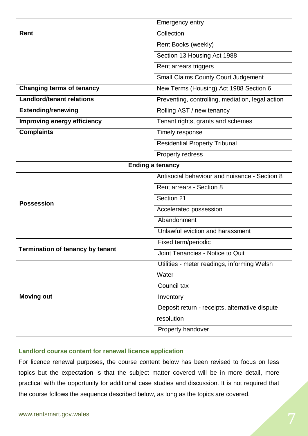|                                         | <b>Emergency entry</b>                           |
|-----------------------------------------|--------------------------------------------------|
| <b>Rent</b>                             | Collection                                       |
|                                         | Rent Books (weekly)                              |
|                                         | Section 13 Housing Act 1988                      |
|                                         | Rent arrears triggers                            |
|                                         | <b>Small Claims County Court Judgement</b>       |
| <b>Changing terms of tenancy</b>        | New Terms (Housing) Act 1988 Section 6           |
| <b>Landlord/tenant relations</b>        | Preventing, controlling, mediation, legal action |
| <b>Extending/renewing</b>               | Rolling AST / new tenancy                        |
| Improving energy efficiency             | Tenant rights, grants and schemes                |
| <b>Complaints</b>                       | Timely response                                  |
|                                         | <b>Residential Property Tribunal</b>             |
|                                         | Property redress                                 |
| <b>Ending a tenancy</b>                 |                                                  |
|                                         | Antisocial behaviour and nuisance - Section 8    |
|                                         | <b>Rent arrears - Section 8</b>                  |
| <b>Possession</b>                       | Section 21                                       |
|                                         | Accelerated possession                           |
|                                         | Abandonment                                      |
|                                         | Unlawful eviction and harassment                 |
|                                         | Fixed term/periodic                              |
| <b>Termination of tenancy by tenant</b> | Joint Tenancies - Notice to Quit                 |
|                                         | Utilities - meter readings, informing Welsh      |
|                                         | Water                                            |
|                                         | Council tax                                      |
| <b>Moving out</b>                       | Inventory                                        |
|                                         | Deposit return - receipts, alternative dispute   |
|                                         |                                                  |
|                                         | resolution                                       |

#### **Landlord course content for renewal licence application**

For licence renewal purposes, the course content below has been revised to focus on less topics but the expectation is that the subject matter covered will be in more detail, more practical with the opportunity for additional case studies and discussion. It is not required that the course follows the sequence described below, as long as the topics are covered.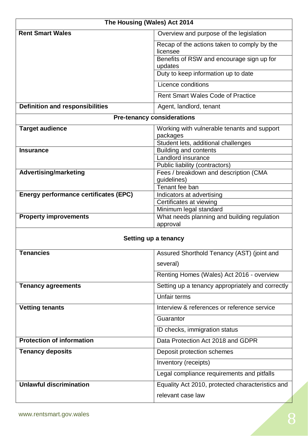| The Housing (Wales) Act 2014                 |                                                                         |
|----------------------------------------------|-------------------------------------------------------------------------|
| <b>Rent Smart Wales</b>                      | Overview and purpose of the legislation                                 |
|                                              | Recap of the actions taken to comply by the                             |
|                                              | licensee                                                                |
|                                              | Benefits of RSW and encourage sign up for<br>updates                    |
|                                              | Duty to keep information up to date                                     |
|                                              | Licence conditions                                                      |
|                                              | <b>Rent Smart Wales Code of Practice</b>                                |
|                                              |                                                                         |
| <b>Definition and responsibilities</b>       | Agent, landlord, tenant                                                 |
|                                              | <b>Pre-tenancy considerations</b>                                       |
| <b>Target audience</b>                       | Working with vulnerable tenants and support                             |
|                                              | packages                                                                |
| <b>Insurance</b>                             | Student lets, additional challenges                                     |
|                                              | <b>Building and contents</b><br>Landlord insurance                      |
|                                              |                                                                         |
| <b>Advertising/marketing</b>                 | Public liability (contractors)<br>Fees / breakdown and description (CMA |
|                                              | guidelines)                                                             |
|                                              | Tenant fee ban                                                          |
| <b>Energy performance certificates (EPC)</b> | Indicators at advertising                                               |
|                                              | Certificates at viewing                                                 |
|                                              | Minimum legal standard                                                  |
| <b>Property improvements</b>                 | What needs planning and building regulation                             |
|                                              | approval                                                                |
|                                              | Setting up a tenancy                                                    |
| <b>Tenancies</b>                             | Assured Shorthold Tenancy (AST) (joint and                              |
|                                              | several)                                                                |
|                                              | Renting Homes (Wales) Act 2016 - overview                               |
| <b>Tenancy agreements</b>                    | Setting up a tenancy appropriately and correctly                        |
|                                              | <b>Unfair terms</b>                                                     |
| <b>Vetting tenants</b>                       | Interview & references or reference service                             |
|                                              | Guarantor                                                               |
|                                              | ID checks, immigration status                                           |
| <b>Protection of information</b>             | Data Protection Act 2018 and GDPR                                       |
| <b>Tenancy deposits</b>                      | Deposit protection schemes                                              |
|                                              | Inventory (receipts)                                                    |
|                                              | Legal compliance requirements and pitfalls                              |
| <b>Unlawful discrimination</b>               | Equality Act 2010, protected characteristics and                        |
|                                              | relevant case law                                                       |
|                                              |                                                                         |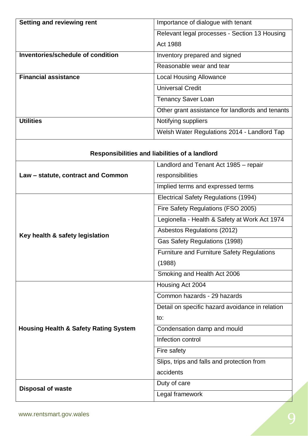| <b>Setting and reviewing rent</b>                | Importance of dialogue with tenant                |
|--------------------------------------------------|---------------------------------------------------|
|                                                  | Relevant legal processes - Section 13 Housing     |
|                                                  | Act 1988                                          |
| Inventories/schedule of condition                | Inventory prepared and signed                     |
|                                                  | Reasonable wear and tear                          |
| <b>Financial assistance</b>                      | <b>Local Housing Allowance</b>                    |
|                                                  | <b>Universal Credit</b>                           |
|                                                  | <b>Tenancy Saver Loan</b>                         |
|                                                  | Other grant assistance for landlords and tenants  |
| <b>Utilities</b>                                 | Notifying suppliers                               |
|                                                  | Welsh Water Regulations 2014 - Landlord Tap       |
|                                                  |                                                   |
|                                                  | Responsibilities and liabilities of a landlord    |
|                                                  | Landlord and Tenant Act 1985 - repair             |
| Law - statute, contract and Common               | responsibilities                                  |
|                                                  | Implied terms and expressed terms                 |
|                                                  | Electrical Safety Regulations (1994)              |
|                                                  | Fire Safety Regulations (FSO 2005)                |
|                                                  | Legionella - Health & Safety at Work Act 1974     |
| Key health & safety legislation                  | Asbestos Regulations (2012)                       |
|                                                  | Gas Safety Regulations (1998)                     |
|                                                  | <b>Furniture and Furniture Safety Regulations</b> |
|                                                  | (1988)                                            |
|                                                  | Smoking and Health Act 2006                       |
|                                                  | Housing Act 2004                                  |
|                                                  | Common hazards - 29 hazards                       |
|                                                  | Detail on specific hazard avoidance in relation   |
|                                                  | to:                                               |
| <b>Housing Health &amp; Safety Rating System</b> | Condensation damp and mould                       |
|                                                  | Infection control                                 |
|                                                  | Fire safety                                       |
|                                                  | Slips, trips and falls and protection from        |
|                                                  | accidents                                         |
|                                                  | Duty of care                                      |
| <b>Disposal of waste</b>                         | Legal framework                                   |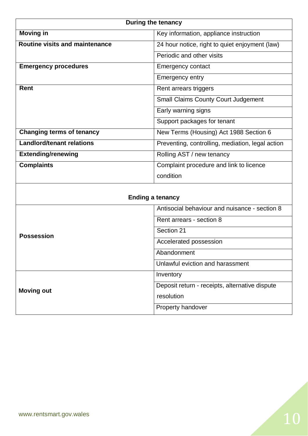|                                       | <b>During the tenancy</b>                        |
|---------------------------------------|--------------------------------------------------|
| <b>Moving in</b>                      | Key information, appliance instruction           |
| <b>Routine visits and maintenance</b> | 24 hour notice, right to quiet enjoyment (law)   |
|                                       | Periodic and other visits                        |
| <b>Emergency procedures</b>           | <b>Emergency contact</b>                         |
|                                       | Emergency entry                                  |
| <b>Rent</b>                           | Rent arrears triggers                            |
|                                       | <b>Small Claims County Court Judgement</b>       |
|                                       | Early warning signs                              |
|                                       | Support packages for tenant                      |
| <b>Changing terms of tenancy</b>      | New Terms (Housing) Act 1988 Section 6           |
| <b>Landlord/tenant relations</b>      | Preventing, controlling, mediation, legal action |
| <b>Extending/renewing</b>             | Rolling AST / new tenancy                        |
| <b>Complaints</b>                     | Complaint procedure and link to licence          |
|                                       | condition                                        |
| <b>Ending a tenancy</b>               |                                                  |
|                                       | Antisocial behaviour and nuisance - section 8    |
|                                       | Rent arrears - section 8                         |
| <b>Possession</b>                     | Section 21                                       |
|                                       | Accelerated possession                           |
|                                       | Abandonment                                      |
|                                       | Unlawful eviction and harassment                 |
|                                       | Inventory                                        |
| <b>Moving out</b>                     | Deposit return - receipts, alternative dispute   |
|                                       | resolution                                       |

Property handover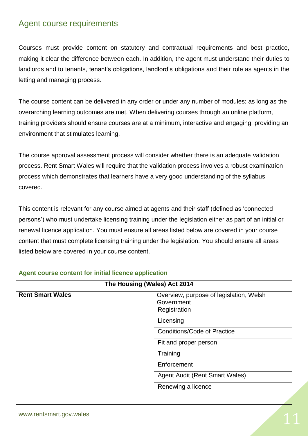# Agent course requirements

Courses must provide content on statutory and contractual requirements and best practice, making it clear the difference between each. In addition, the agent must understand their duties to landlords and to tenants, tenant's obligations, landlord's obligations and their role as agents in the letting and managing process.

The course content can be delivered in any order or under any number of modules; as long as the overarching learning outcomes are met. When delivering courses through an online platform, training providers should ensure courses are at a minimum, interactive and engaging, providing an environment that stimulates learning.

The course approval assessment process will consider whether there is an adequate validation process. Rent Smart Wales will require that the validation process involves a robust examination process which demonstrates that learners have a very good understanding of the syllabus covered.

This content is relevant for any course aimed at agents and their staff (defined as 'connected persons') who must undertake licensing training under the legislation either as part of an initial or renewal licence application. You must ensure all areas listed below are covered in your course content that must complete licensing training under the legislation. You should ensure all areas listed below are covered in your course content.

| The Housing (Wales) Act 2014 |                                                                       |
|------------------------------|-----------------------------------------------------------------------|
| <b>Rent Smart Wales</b>      | Overview, purpose of legislation, Welsh<br>Government<br>Registration |
|                              | Licensing                                                             |
|                              | <b>Conditions/Code of Practice</b>                                    |
|                              | Fit and proper person                                                 |
|                              | Training                                                              |
|                              | Enforcement                                                           |
|                              | <b>Agent Audit (Rent Smart Wales)</b>                                 |
|                              | Renewing a licence                                                    |
|                              |                                                                       |

#### **Agent course content for initial licence application**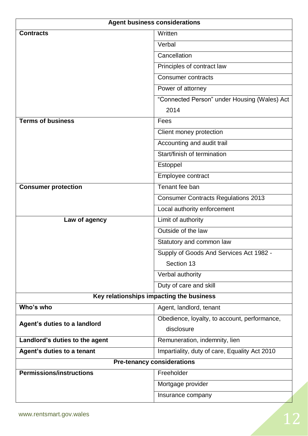| <b>Agent business considerations</b> |                                               |
|--------------------------------------|-----------------------------------------------|
| <b>Contracts</b>                     | Written                                       |
|                                      | Verbal                                        |
|                                      | Cancellation                                  |
|                                      | Principles of contract law                    |
|                                      | <b>Consumer contracts</b>                     |
|                                      | Power of attorney                             |
|                                      | "Connected Person" under Housing (Wales) Act  |
|                                      | 2014                                          |
| <b>Terms of business</b>             | Fees                                          |
|                                      | Client money protection                       |
|                                      | Accounting and audit trail                    |
|                                      | Start/finish of termination                   |
|                                      | Estoppel                                      |
|                                      | Employee contract                             |
| <b>Consumer protection</b>           | Tenant fee ban                                |
|                                      | <b>Consumer Contracts Regulations 2013</b>    |
|                                      | Local authority enforcement                   |
| Law of agency                        | Limit of authority                            |
|                                      | Outside of the law                            |
|                                      | Statutory and common law                      |
|                                      | Supply of Goods And Services Act 1982 -       |
|                                      | Section 13                                    |
|                                      | Verbal authority                              |
|                                      | Duty of care and skill                        |
|                                      | Key relationships impacting the business      |
| Who's who                            | Agent, landlord, tenant                       |
| Agent's duties to a landlord         | Obedience, loyalty, to account, performance,  |
|                                      | disclosure                                    |
| Landlord's duties to the agent       | Remuneration, indemnity, lien                 |
| Agent's duties to a tenant           | Impartiality, duty of care, Equality Act 2010 |
|                                      | <b>Pre-tenancy considerations</b>             |
| <b>Permissions/instructions</b>      | Freeholder                                    |
|                                      | Mortgage provider                             |
|                                      | Insurance company                             |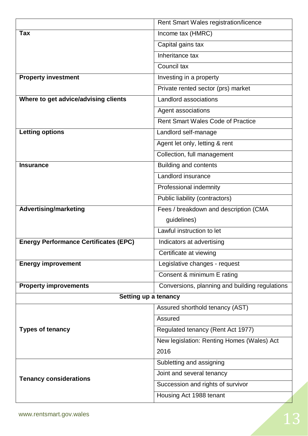|                                              | Rent Smart Wales registration/licence          |
|----------------------------------------------|------------------------------------------------|
| <b>Tax</b>                                   | Income tax (HMRC)                              |
|                                              | Capital gains tax                              |
|                                              | Inheritance tax                                |
|                                              | Council tax                                    |
| <b>Property investment</b>                   | Investing in a property                        |
|                                              | Private rented sector (prs) market             |
| Where to get advice/advising clients         | Landlord associations                          |
|                                              | Agent associations                             |
|                                              | <b>Rent Smart Wales Code of Practice</b>       |
| <b>Letting options</b>                       | Landlord self-manage                           |
|                                              | Agent let only, letting & rent                 |
|                                              | Collection, full management                    |
| <b>Insurance</b>                             | Building and contents                          |
|                                              | Landlord insurance                             |
|                                              | Professional indemnity                         |
|                                              | Public liability (contractors)                 |
| <b>Advertising/marketing</b>                 | Fees / breakdown and description (CMA          |
|                                              | guidelines)                                    |
|                                              | Lawful instruction to let                      |
| <b>Energy Performance Certificates (EPC)</b> | Indicators at advertising                      |
|                                              | Certificate at viewing                         |
| <b>Energy improvement</b>                    | Legislative changes - request                  |
|                                              | Consent & minimum E rating                     |
| <b>Property improvements</b>                 | Conversions, planning and building regulations |
| Setting up a tenancy                         |                                                |
|                                              | Assured shorthold tenancy (AST)                |
|                                              | Assured                                        |
| <b>Types of tenancy</b>                      | Regulated tenancy (Rent Act 1977)              |
|                                              | New legislation: Renting Homes (Wales) Act     |
|                                              | 2016                                           |
|                                              | Subletting and assigning                       |
| <b>Tenancy considerations</b>                | Joint and several tenancy                      |
|                                              | Succession and rights of survivor              |
|                                              | Housing Act 1988 tenant                        |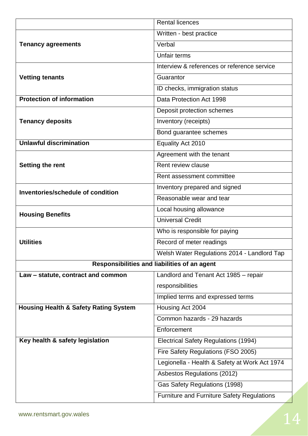|                                                  | <b>Rental licences</b>                            |
|--------------------------------------------------|---------------------------------------------------|
|                                                  | Written - best practice                           |
| <b>Tenancy agreements</b>                        | Verbal                                            |
|                                                  | Unfair terms                                      |
|                                                  | Interview & references or reference service       |
| <b>Vetting tenants</b>                           | Guarantor                                         |
|                                                  | ID checks, immigration status                     |
| <b>Protection of information</b>                 | Data Protection Act 1998                          |
|                                                  | Deposit protection schemes                        |
| <b>Tenancy deposits</b>                          | Inventory (receipts)                              |
|                                                  | Bond guarantee schemes                            |
| <b>Unlawful discrimination</b>                   | Equality Act 2010                                 |
|                                                  | Agreement with the tenant                         |
| <b>Setting the rent</b>                          | Rent review clause                                |
|                                                  | Rent assessment committee                         |
| Inventories/schedule of condition                | Inventory prepared and signed                     |
|                                                  | Reasonable wear and tear                          |
| <b>Housing Benefits</b>                          | Local housing allowance                           |
|                                                  | <b>Universal Credit</b>                           |
|                                                  | Who is responsible for paying                     |
| <b>Utilities</b>                                 | Record of meter readings                          |
|                                                  | Welsh Water Regulations 2014 - Landlord Tap       |
|                                                  | Responsibilities and liabilities of an agent      |
| Law - statute, contract and common               | Landlord and Tenant Act 1985 - repair             |
|                                                  | responsibilities                                  |
|                                                  | Implied terms and expressed terms                 |
| <b>Housing Health &amp; Safety Rating System</b> | Housing Act 2004                                  |
|                                                  | Common hazards - 29 hazards                       |
|                                                  | Enforcement                                       |
| Key health & safety legislation                  | Electrical Safety Regulations (1994)              |
|                                                  | Fire Safety Regulations (FSO 2005)                |
|                                                  | Legionella - Health & Safety at Work Act 1974     |
|                                                  | Asbestos Regulations (2012)                       |
|                                                  | Gas Safety Regulations (1998)                     |
|                                                  | <b>Furniture and Furniture Safety Regulations</b> |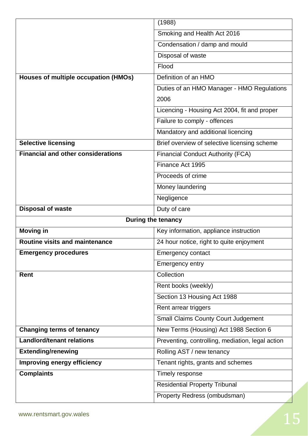|                                           | (1988)                                           |
|-------------------------------------------|--------------------------------------------------|
|                                           | Smoking and Health Act 2016                      |
|                                           | Condensation / damp and mould                    |
|                                           | Disposal of waste                                |
|                                           | Flood                                            |
| Houses of multiple occupation (HMOs)      | Definition of an HMO                             |
|                                           | Duties of an HMO Manager - HMO Regulations       |
|                                           | 2006                                             |
|                                           | Licencing - Housing Act 2004, fit and proper     |
|                                           | Failure to comply - offences                     |
|                                           | Mandatory and additional licencing               |
| <b>Selective licensing</b>                | Brief overview of selective licensing scheme     |
| <b>Financial and other considerations</b> | <b>Financial Conduct Authority (FCA)</b>         |
|                                           | Finance Act 1995                                 |
|                                           | Proceeds of crime                                |
|                                           | Money laundering                                 |
|                                           | Negligence                                       |
| <b>Disposal of waste</b>                  | Duty of care                                     |
|                                           | During the tenancy                               |
| <b>Moving in</b>                          | Key information, appliance instruction           |
| Routine visits and maintenance            | 24 hour notice, right to quite enjoyment         |
| <b>Emergency procedures</b>               | <b>Emergency contact</b>                         |
|                                           |                                                  |
|                                           | Emergency entry                                  |
| Rent                                      | Collection                                       |
|                                           | Rent books (weekly)                              |
|                                           | Section 13 Housing Act 1988                      |
|                                           | Rent arrear triggers                             |
|                                           | <b>Small Claims County Court Judgement</b>       |
| <b>Changing terms of tenancy</b>          | New Terms (Housing) Act 1988 Section 6           |
| <b>Landlord/tenant relations</b>          | Preventing, controlling, mediation, legal action |
| <b>Extending/renewing</b>                 | Rolling AST / new tenancy                        |
| <b>Improving energy efficiency</b>        | Tenant rights, grants and schemes                |
| <b>Complaints</b>                         | Timely response                                  |
|                                           | <b>Residential Property Tribunal</b>             |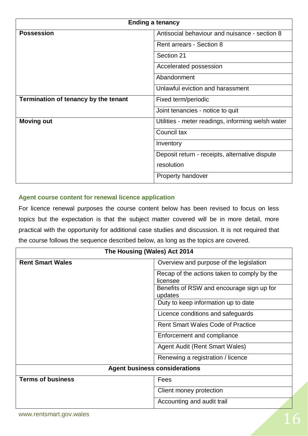| <b>Ending a tenancy</b>              |                                                   |
|--------------------------------------|---------------------------------------------------|
| <b>Possession</b>                    | Antisocial behaviour and nuisance - section 8     |
|                                      | Rent arrears - Section 8                          |
|                                      | Section 21                                        |
|                                      | Accelerated possession                            |
|                                      | Abandonment                                       |
|                                      | Unlawful eviction and harassment                  |
| Termination of tenancy by the tenant | Fixed term/periodic                               |
|                                      | Joint tenancies - notice to quit                  |
| <b>Moving out</b>                    | Utilities - meter readings, informing welsh water |
|                                      | Council tax                                       |
|                                      | Inventory                                         |
|                                      | Deposit return - receipts, alternative dispute    |
|                                      | resolution                                        |
|                                      | Property handover                                 |

#### **Agent course content for renewal licence application**

For licence renewal purposes the course content below has been revised to focus on less topics but the expectation is that the subject matter covered will be in more detail, more practical with the opportunity for additional case studies and discussion. It is not required that the course follows the sequence described below, as long as the topics are covered.

| The Housing (Wales) Act 2014         |                                                         |
|--------------------------------------|---------------------------------------------------------|
| <b>Rent Smart Wales</b>              | Overview and purpose of the legislation                 |
|                                      | Recap of the actions taken to comply by the<br>licensee |
|                                      | Benefits of RSW and encourage sign up for<br>updates    |
|                                      | Duty to keep information up to date                     |
|                                      | Licence conditions and safeguards                       |
|                                      | <b>Rent Smart Wales Code of Practice</b>                |
|                                      | Enforcement and compliance                              |
|                                      | <b>Agent Audit (Rent Smart Wales)</b>                   |
|                                      | Renewing a registration / licence                       |
| <b>Agent business considerations</b> |                                                         |
| <b>Terms of business</b>             | Fees                                                    |
|                                      | Client money protection                                 |
|                                      | Accounting and audit trail                              |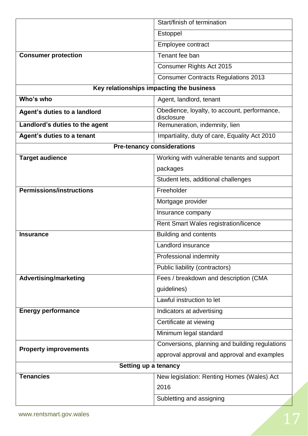|                                          | Start/finish of termination                                |  |
|------------------------------------------|------------------------------------------------------------|--|
|                                          | Estoppel                                                   |  |
|                                          | Employee contract                                          |  |
| <b>Consumer protection</b>               | Tenant fee ban                                             |  |
|                                          | Consumer Rights Act 2015                                   |  |
|                                          | <b>Consumer Contracts Regulations 2013</b>                 |  |
| Key relationships impacting the business |                                                            |  |
| Who's who                                | Agent, landlord, tenant                                    |  |
| Agent's duties to a landlord             | Obedience, loyalty, to account, performance,<br>disclosure |  |
| Landlord's duties to the agent           | Remuneration, indemnity, lien                              |  |
| Agent's duties to a tenant               | Impartiality, duty of care, Equality Act 2010              |  |
| <b>Pre-tenancy considerations</b>        |                                                            |  |
| <b>Target audience</b>                   | Working with vulnerable tenants and support                |  |
|                                          | packages                                                   |  |
|                                          | Student lets, additional challenges                        |  |
| <b>Permissions/instructions</b>          | Freeholder                                                 |  |
|                                          | Mortgage provider                                          |  |
|                                          | Insurance company                                          |  |
|                                          | Rent Smart Wales registration/licence                      |  |
| <b>Insurance</b>                         | <b>Building and contents</b>                               |  |
|                                          | Landlord insurance                                         |  |
|                                          | Professional indemnity                                     |  |
|                                          | Public liability (contractors)                             |  |
| <b>Advertising/marketing</b>             | Fees / breakdown and description (CMA                      |  |
|                                          | guidelines)                                                |  |
|                                          | Lawful instruction to let                                  |  |
| <b>Energy performance</b>                | Indicators at advertising                                  |  |
|                                          | Certificate at viewing                                     |  |
|                                          | Minimum legal standard                                     |  |
|                                          | Conversions, planning and building regulations             |  |
| <b>Property improvements</b>             | approval approval and approval and examples                |  |
|                                          | Setting up a tenancy                                       |  |
| <b>Tenancies</b>                         | New legislation: Renting Homes (Wales) Act                 |  |
|                                          | 2016                                                       |  |
|                                          | Subletting and assigning                                   |  |
|                                          |                                                            |  |
| www.rentsmart.gov.wales                  |                                                            |  |
|                                          |                                                            |  |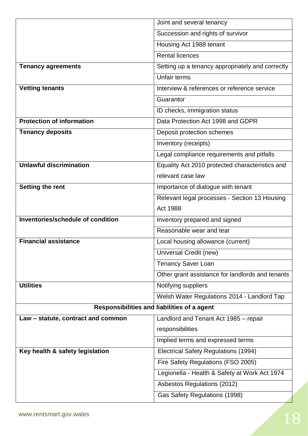|                                             | Joint and several tenancy                        |  |
|---------------------------------------------|--------------------------------------------------|--|
|                                             | Succession and rights of survivor                |  |
|                                             | Housing Act 1988 tenant                          |  |
|                                             | <b>Rental licences</b>                           |  |
| <b>Tenancy agreements</b>                   | Setting up a tenancy appropriately and correctly |  |
|                                             | Unfair terms                                     |  |
| <b>Vetting tenants</b>                      | Interview & references or reference service      |  |
|                                             | Guarantor                                        |  |
|                                             | ID checks, immigration status                    |  |
| <b>Protection of information</b>            | Data Protection Act 1998 and GDPR                |  |
| <b>Tenancy deposits</b>                     | Deposit protection schemes                       |  |
|                                             | Inventory (receipts)                             |  |
|                                             | Legal compliance requirements and pitfalls       |  |
| <b>Unlawful discrimination</b>              | Equality Act 2010 protected characteristics and  |  |
|                                             | relevant case law                                |  |
| <b>Setting the rent</b>                     | Importance of dialogue with tenant               |  |
|                                             | Relevant legal processes - Section 13 Housing    |  |
|                                             | Act 1988                                         |  |
| Inventories/schedule of condition           | Inventory prepared and signed                    |  |
|                                             | Reasonable wear and tear                         |  |
| <b>Financial assistance</b>                 | Local housing allowance (current)                |  |
|                                             | Universal Credit (new)                           |  |
|                                             | <b>Tenancy Saver Loan</b>                        |  |
|                                             | Other grant assistance for landlords and tenants |  |
| <b>Utilities</b>                            | Notifying suppliers                              |  |
|                                             | Welsh Water Regulations 2014 - Landlord Tap      |  |
| Responsibilities and liabilities of a agent |                                                  |  |
| Law - statute, contract and common          | Landlord and Tenant Act 1985 - repair            |  |
|                                             | responsibilities                                 |  |
|                                             | Implied terms and expressed terms                |  |
| Key health & safety legislation             | Electrical Safety Regulations (1994)             |  |
|                                             | Fire Safety Regulations (FSO 2005)               |  |
|                                             | Legionella - Health & Safety at Work Act 1974    |  |
|                                             | Asbestos Regulations (2012)                      |  |
|                                             | Gas Safety Regulations (1998)                    |  |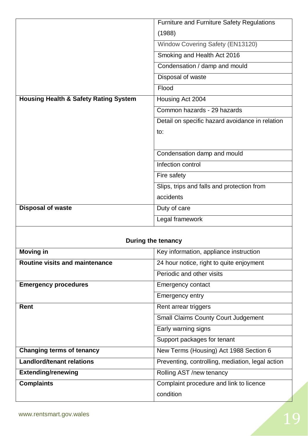|                                                  | <b>Furniture and Furniture Safety Regulations</b> |  |
|--------------------------------------------------|---------------------------------------------------|--|
|                                                  | (1988)                                            |  |
|                                                  | Window Covering Safety (EN13120)                  |  |
|                                                  | Smoking and Health Act 2016                       |  |
|                                                  | Condensation / damp and mould                     |  |
|                                                  | Disposal of waste                                 |  |
|                                                  | Flood                                             |  |
| <b>Housing Health &amp; Safety Rating System</b> | Housing Act 2004                                  |  |
|                                                  | Common hazards - 29 hazards                       |  |
|                                                  | Detail on specific hazard avoidance in relation   |  |
|                                                  | to:                                               |  |
|                                                  |                                                   |  |
|                                                  | Condensation damp and mould                       |  |
|                                                  | Infection control                                 |  |
|                                                  | Fire safety                                       |  |
|                                                  | Slips, trips and falls and protection from        |  |
|                                                  | accidents                                         |  |
| <b>Disposal of waste</b>                         | Duty of care                                      |  |
|                                                  | Legal framework                                   |  |
|                                                  |                                                   |  |
| During the tenancy                               |                                                   |  |
| <b>Moving in</b>                                 | Key information, appliance instruction            |  |
| <b>Routine visits and maintenance</b>            | 24 hour notice, right to quite enjoyment          |  |
|                                                  | Designation and advanced attack                   |  |

|                                  | Periodic and other visits                        |
|----------------------------------|--------------------------------------------------|
| <b>Emergency procedures</b>      | <b>Emergency contact</b>                         |
|                                  | Emergency entry                                  |
| Rent                             | Rent arrear triggers                             |
|                                  | <b>Small Claims County Court Judgement</b>       |
|                                  | Early warning signs                              |
|                                  | Support packages for tenant                      |
| <b>Changing terms of tenancy</b> | New Terms (Housing) Act 1988 Section 6           |
| <b>Landlord/tenant relations</b> | Preventing, controlling, mediation, legal action |
| <b>Extending/renewing</b>        | Rolling AST /new tenancy                         |
| <b>Complaints</b>                | Complaint procedure and link to licence          |
|                                  | condition                                        |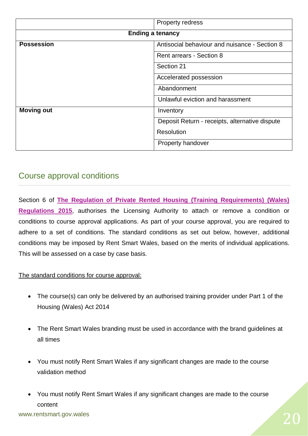|                         | <b>Property redress</b>                        |  |
|-------------------------|------------------------------------------------|--|
| <b>Ending a tenancy</b> |                                                |  |
| <b>Possession</b>       | Antisocial behaviour and nuisance - Section 8  |  |
|                         | Rent arrears - Section 8                       |  |
|                         | Section 21                                     |  |
|                         | Accelerated possession                         |  |
|                         | Abandonment                                    |  |
|                         | Unlawful eviction and harassment               |  |
| <b>Moving out</b>       | Inventory                                      |  |
|                         | Deposit Return - receipts, alternative dispute |  |
|                         | Resolution                                     |  |
|                         | Property handover                              |  |

# Course approval conditions

Section 6 of **[The Regulation of Private Rented Housing](http://www.legislation.gov.uk/wsi/2015/1366/contents/made) (Training Requirements) (Wales) [Regulations 2015](http://www.legislation.gov.uk/wsi/2015/1366/contents/made)**, authorises the Licensing Authority to attach or remove a condition or conditions to course approval applications. As part of your course approval, you are required to adhere to a set of conditions. The standard conditions as set out below, however, additional conditions may be imposed by Rent Smart Wales, based on the merits of individual applications. This will be assessed on a case by case basis.

The standard conditions for course approval:

- The course(s) can only be delivered by an authorised training provider under Part 1 of the Housing (Wales) Act 2014
- The Rent Smart Wales branding must be used in accordance with the brand guidelines at all times
- You must notify Rent Smart Wales if any significant changes are made to the course validation method
- You must notify Rent Smart Wales if any significant changes are made to the course content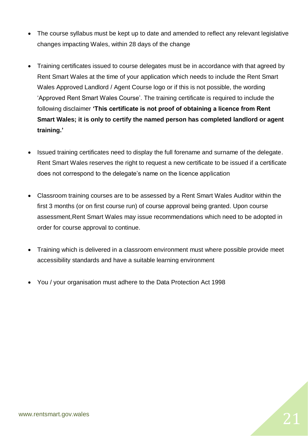- The course syllabus must be kept up to date and amended to reflect any relevant legislative changes impacting Wales, within 28 days of the change
- Training certificates issued to course delegates must be in accordance with that agreed by Rent Smart Wales at the time of your application which needs to include the Rent Smart Wales Approved Landlord / Agent Course logo or if this is not possible, the wording 'Approved Rent Smart Wales Course'. The training certificate is required to include the following disclaimer **'This certificate is not proof of obtaining a licence from Rent Smart Wales; it is only to certify the named person has completed landlord or agent training.'**
- Issued training certificates need to display the full forename and surname of the delegate. Rent Smart Wales reserves the right to request a new certificate to be issued if a certificate does not correspond to the delegate's name on the licence application
- Classroom training courses are to be assessed by a Rent Smart Wales Auditor within the first 3 months (or on first course run) of course approval being granted. Upon course assessment,Rent Smart Wales may issue recommendations which need to be adopted in order for course approval to continue.
- Training which is delivered in a classroom environment must where possible provide meet accessibility standards and have a suitable learning environment
- You / your organisation must adhere to the Data Protection Act 1998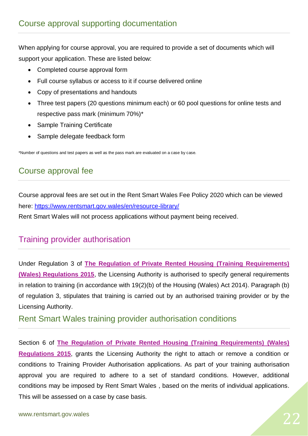When applying for course approval, you are required to provide a set of documents which will support your application. These are listed below:

- Completed course approval form
- Full course syllabus or access to it if course delivered online
- Copy of presentations and handouts
- Three test papers (20 questions minimum each) or 60 pool questions for online tests and respective pass mark (minimum 70%)\*
- Sample Training Certificate
- Sample delegate feedback form

\*Number of questions and test papers as well as the pass mark are evaluated on a case by case.

# Course approval fee

Course approval fees are set out in the Rent Smart Wales Fee Policy 2020 which can be viewed here:<https://www.rentsmart.gov.wales/en/resource-library/>

Rent Smart Wales will not process applications without payment being received.

# Training provider authorisation

Under Regulation 3 of **[The Regulation of Private Rented Housing](http://www.legislation.gov.uk/wsi/2015/1366/contents/made) (Training Requirements) [\(Wales\) Regulations 2015](http://www.legislation.gov.uk/wsi/2015/1366/contents/made)**, the Licensing Authority is authorised to specify general requirements in relation to training (in accordance with 19(2)(b) of the Housing (Wales) Act 2014). Paragraph (b) of regulation 3, stipulates that training is carried out by an authorised training provider or by the Licensing Authority.

# Rent Smart Wales training provider authorisation conditions

Section 6 of **[The Regulation of Private Rented Housing](http://www.legislation.gov.uk/wsi/2015/1366/contents/made) (Training Requirements) (Wales) [Regulations 2015](http://www.legislation.gov.uk/wsi/2015/1366/contents/made)**, grants the Licensing Authority the right to attach or remove a condition or conditions to Training Provider Authorisation applications. As part of your training authorisation approval you are required to adhere to a set of standard conditions. However, additional conditions may be imposed by Rent Smart Wales , based on the merits of individual applications. This will be assessed on a case by case basis.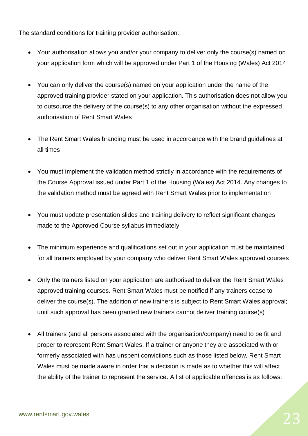#### The standard conditions for training provider authorisation:

- Your authorisation allows you and/or your company to deliver only the course(s) named on your application form which will be approved under Part 1 of the Housing (Wales) Act 2014
- You can only deliver the course(s) named on your application under the name of the approved training provider stated on your application. This authorisation does not allow you to outsource the delivery of the course(s) to any other organisation without the expressed authorisation of Rent Smart Wales
- The Rent Smart Wales branding must be used in accordance with the brand guidelines at all times
- You must implement the validation method strictly in accordance with the requirements of the Course Approval issued under Part 1 of the Housing (Wales) Act 2014. Any changes to the validation method must be agreed with Rent Smart Wales prior to implementation
- You must update presentation slides and training delivery to reflect significant changes made to the Approved Course syllabus immediately
- The minimum experience and qualifications set out in your application must be maintained for all trainers employed by your company who deliver Rent Smart Wales approved courses
- Only the trainers listed on your application are authorised to deliver the Rent Smart Wales approved training courses. Rent Smart Wales must be notified if any trainers cease to deliver the course(s). The addition of new trainers is subject to Rent Smart Wales approval; until such approval has been granted new trainers cannot deliver training course(s)
- All trainers (and all persons associated with the organisation/company) need to be fit and proper to represent Rent Smart Wales. If a trainer or anyone they are associated with or formerly associated with has unspent convictions such as those listed below, Rent Smart Wales must be made aware in order that a decision is made as to whether this will affect the ability of the trainer to represent the service. A list of applicable offences is as follows: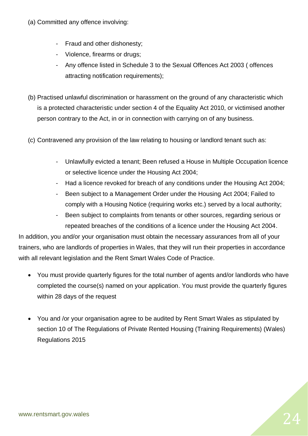- (a) Committed any offence involving:
	- Fraud and other dishonesty;
	- Violence, firearms or drugs;
	- Any offence listed in Schedule 3 to the Sexual Offences Act 2003 ( offences attracting notification requirements);
- (b) Practised unlawful discrimination or harassment on the ground of any characteristic which is a protected characteristic under section 4 of the Equality Act 2010, or victimised another person contrary to the Act, in or in connection with carrying on of any business.
- (c) Contravened any provision of the law relating to housing or landlord tenant such as:
	- Unlawfully evicted a tenant; Been refused a House in Multiple Occupation licence or selective licence under the Housing Act 2004;
	- Had a licence revoked for breach of any conditions under the Housing Act 2004;
	- Been subject to a Management Order under the Housing Act 2004; Failed to comply with a Housing Notice (requiring works etc.) served by a local authority;
	- Been subject to complaints from tenants or other sources, regarding serious or repeated breaches of the conditions of a licence under the Housing Act 2004.

In addition, you and/or your organisation must obtain the necessary assurances from all of your trainers, who are landlords of properties in Wales, that they will run their properties in accordance with all relevant legislation and the Rent Smart Wales Code of Practice.

- You must provide quarterly figures for the total number of agents and/or landlords who have completed the course(s) named on your application. You must provide the quarterly figures within 28 days of the request
- You and /or your organisation agree to be audited by Rent Smart Wales as stipulated by section 10 of The Regulations of Private Rented Housing (Training Requirements) (Wales) Regulations 2015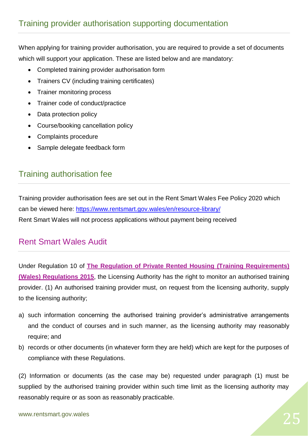When applying for training provider authorisation, you are required to provide a set of documents which will support your application. These are listed below and are mandatory:

- Completed training provider authorisation form
- Trainers CV (including training certificates)
- Trainer monitoring process
- Trainer code of conduct/practice
- Data protection policy
- Course/booking cancellation policy
- Complaints procedure
- Sample delegate feedback form

# Training authorisation fee

Training provider authorisation fees are set out in the Rent Smart Wales Fee Policy 2020 which can be viewed here:<https://www.rentsmart.gov.wales/en/resource-library/> Rent Smart Wales will not process applications without payment being received

# Rent Smart Wales Audit

Under Regulation 10 of **[The Regulation of Private Rented Housing](http://www.legislation.gov.uk/wsi/2015/1366/contents/made) (Training Requirements) [\(Wales\) Regulations 2015](http://www.legislation.gov.uk/wsi/2015/1366/contents/made)**, the Licensing Authority has the right to monitor an authorised training provider. (1) An authorised training provider must, on request from the licensing authority, supply to the licensing authority;

- a) such information concerning the authorised training provider's administrative arrangements and the conduct of courses and in such manner, as the licensing authority may reasonably require; and
- b) records or other documents (in whatever form they are held) which are kept for the purposes of compliance with these Regulations.

(2) Information or documents (as the case may be) requested under paragraph (1) must be supplied by the authorised training provider within such time limit as the licensing authority may reasonably require or as soon as reasonably practicable.